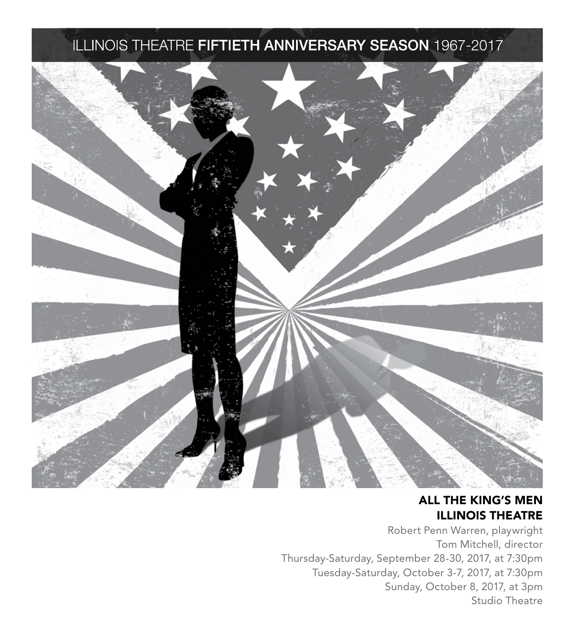### ILLINOIS THEATRE FIFTIETH ANNIVERSARY SEASON 1967-2017



### ALL THE KING'S MEN ILLINOIS THEATRE

Robert Penn Warren, playwright Tom Mitchell, director Thursday-Saturday, September 28-30, 2017, at 7:30pm Tuesday-Saturday, October 3-7, 2017, at 7:30pm Sunday, October 8, 2017, at 3pm Studio Theatre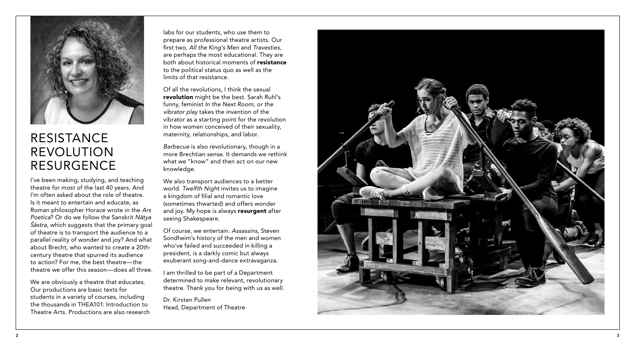

### RESISTANCE REVOLUTION RESURGENCE

I've been making, studying, and teaching theatre for most of the last 40 years. And I'm often asked about the role of theatre. Is it meant to entertain and educate, as Roman philosopher Horace wrote in the *Ars Poetica*? Or do we follow the Sanskrit *Nātya Śāstra*, which suggests that the primary goal of theatre is to transport the audience to a parallel reality of wonder and joy? And what about Brecht, who wanted to create a 20thcentury theatre that spurred its audience to action? For me, the best theatre—the theatre we offer this season—does all three.

We are obviously a theatre that educates. Our productions are basic texts for students in a variety of courses, including the thousands in THEA101: Introduction to Theatre Arts. Productions are also research

labs for our students, who use them to prepare as professional theatre artists. Our first two, *All the King's Men* and *Travesties*, are perhaps the most educational. They are both about historical moments of resistance to the political status quo as well as the limits of that resistance.

Of all the revolutions, I think the sexual revolution might be the best. Sarah Ruhl's funny, feminist *In the Next Room, or the vibrator play* takes the invention of the vibrator as a starting point for the revolution in how women conceived of their sexuality, maternity, relationships, and labor.

*Barbecue* is also revolutionary, though in a more Brechtian sense. It demands we rethink what we "know" and then act on our new knowledge.

We also transport audiences to a better world. *Twelfth Night* invites us to imagine a kingdom of filial and romantic love (sometimes thwarted) and offers wonder and joy. My hope is always resurgent after seeing Shakespeare.

Of course, we entertain. *Assassins*, Steven Sondheim's history of the men and women who've failed and succeeded in killing a president, is a darkly comic but always exuberant song-and-dance extravaganza.

I am thrilled to be part of a Department determined to make relevant, revolutionary theatre. Thank you for being with us as well.

Dr. Kirsten Pullen Head, Department of Theatre

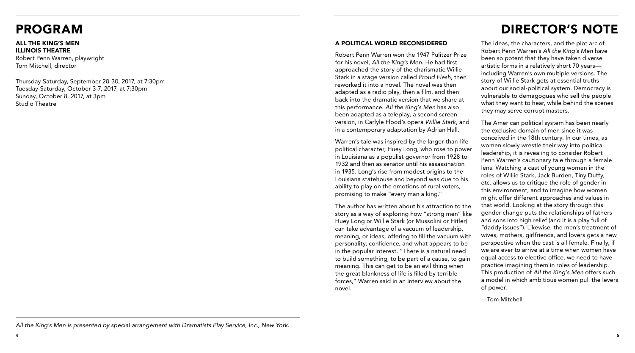### PROGRAM

#### ALL THE KING'S MEN ILLINOIS THEATRE

Robert Penn Warren, playwright Tom Mitchell, director

Thursday-Saturday, September 28-30, 2017, at 7:30pm Tuesday-Saturday, October 3-7, 2017, at 7:30pm Sunday, October 8, 2017, at 3pm Studio Theatre

# DIRECTOR'S NOTE

### A POLITICAL WORLD RECONSIDERED

Robert Penn Warren won the 1947 Pulitzer Prize for his novel, *All the King's Men*. He had first approached the story of the charismatic Willie Stark in a stage version called *Proud Flesh*, then reworked it into a novel. The novel was then adapted as a radio play, then a film, and then back into the dramatic version that we share at this performance. *All the King's Men* has also been adapted as a teleplay, a second screen version, in Carlyle Flood's opera *Willie Stark*, and in a contemporary adaptation by Adrian Hall.

Warren's tale was inspired by the larger-than-life political character, Huey Long, who rose to power in Louisiana as a populist governor from 1928 to 1932 and then as senator until his assassination in 1935. Long's rise from modest origins to the Louisiana statehouse and beyond was due to his ability to play on the emotions of rural voters, promising to make "every man a king."

The author has written about his attraction to the story as a way of exploring how "strong men" like Huey Long or Willie Stark (or Mussolini or Hitler) can take advantage of a vacuum of leadership, meaning, or ideas, offering to fill the vacuum with personality, confidence, and what appears to be in the popular interest. "There is a natural need to build something, to be part of a cause, to gain meaning. This can get to be an evil thing when the great blankness of life is filled by terrible forces," Warren said in an interview about the novel.

The ideas, the characters, and the plot arc of Robert Penn Warren's *All the King's Men* have been so potent that they have taken diverse artistic forms in a relatively short 70 years including Warren's own multiple versions. The story of Willie Stark gets at essential truths about our social-political system. Democracy is vulnerable to demagogues who sell the people what they want to hear, while behind the scenes they may serve corrupt masters.

The American political system has been nearly the exclusive domain of men since it was conceived in the 18th century. In our times, as women slowly wrestle their way into political leadership, it is revealing to consider Robert Penn Warren's cautionary tale through a female lens. Watching a cast of young women in the roles of Willie Stark, Jack Burden, Tiny Duffy, etc. allows us to critique the role of gender in this environment, and to imagine how women might offer different approaches and values in that world. Looking at the story through this gender change puts the relationships of fathers and sons into high relief (and it is a play full of "daddy issues"). Likewise, the men's treatment of wives, mothers, girlfriends, and lovers gets a new perspective when the cast is all female. Finally, if we are ever to arrive at a time when women have equal access to elective office, we need to have practice imagining them in roles of leadership. This production of *All the King's Men* offers such a model in which ambitious women pull the levers of power.

—Tom Mitchell

*All the King's Men is presented by special arrangement with Dramatists Play Service, Inc., New York.*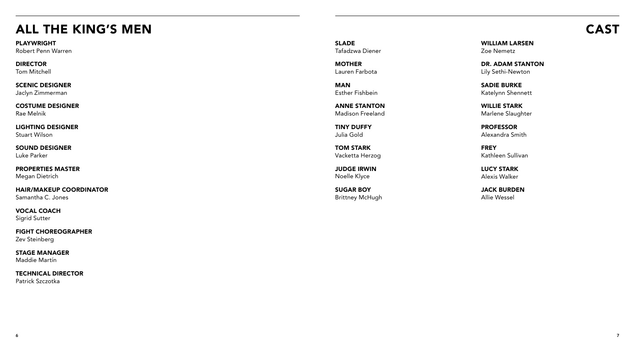# ALL THE KING'S MEN CAST

PLAYWRIGHT

Robert Penn Warren

DIRECTOR Tom Mitchell

SCENIC DESIGNER Jaclyn Zimmerman

COSTUME DESIGNER Rae Melnik

LIGHTING DESIGNER Stuart Wilson

SOUND DESIGNER Luke Parker

PROPERTIES MASTER Megan Dietrich

HAIR/MAKEUP COORDINATOR Samantha C. Jones

VOCAL COACH Sigrid Sutter

FIGHT CHOREOGRAPHER Zev Steinberg

STAGE MANAGER Maddie Martín

TECHNICAL DIRECTOR Patrick Szczotka

SLADE Tafadzwa Diener

**MOTHER** Lauren Farbota

MAN Esther Fishbein

ANNE STANTON Madison Freeland

TINY DUFFY Julia Gold

TOM STARK Vacketta Herzog

JUDGE IRWIN Noelle Klyce

SUGAR BOY Brittney McHugh WILLIAM LARSEN Zoe Nemetz

DR. ADAM STANTON Lily Sethi-Newton

SADIE BURKE Katelynn Shennett

WILLIE STARK Marlene Slaughter

PROFESSOR Alexandra Smith

FREY Kathleen Sullivan

LUCY STARK Alexis Walker

JACK BURDEN Allie Wessel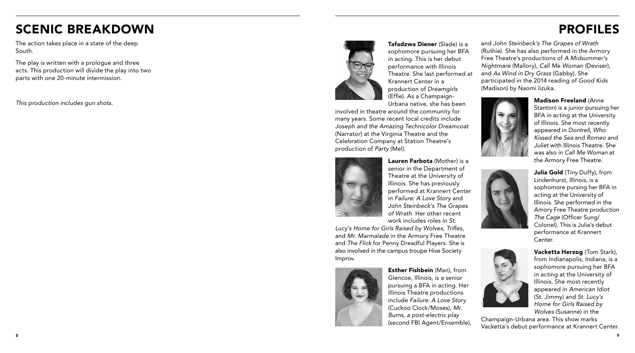# SCENIC BREAKDOWN

The action takes place in a state of the deep South.

The play is written with a prologue and three acts. This production will divide the play into two parts with one 20-minute intermission.

*This production includes gun shots.*



Tafadzwa Diener (Slade) is a sophomore pursuing her BFA in acting. This is her debut performance with Illinois Theatre. She last performed at Krannert Center in a production of *Dreamgirls* (Effie). As a Champaign-Urbana native, she has been

involved in theatre around the community for many years. Some recent local credits include *Joseph and the Amazing Technicolor Dreamcoat*  (Narrato *r*) at the Virginia Theatre and the Celebration Company at Station Theatre's production of *Party* (Mel).



Lauren Farbota (Mother) is a senior in the Department of Theatre at the University of Illinois. She has previously performed at Krannert Center in *Failure: A Love Story* and *John Steinbeck's The Grapes of Wrath*. Her other recent work includes roles in *St.*

*Lucy's Home for Girls Raised by Wolves*, *Trifles*, and *Mr. Marmalade* in the Armory Free Theatre and *The Flick* for Penny Dreadful Players. She is also involved in the campus troupe Hive Society Improv.



Esther Fishbein (Man), from Glencoe, Illinois, is a senior pursuing a BFA in acting. Her Illinois Theatre productions include *Failure: A Love Story* (Cuckoo Clock/Moses), *Mr. Burns, a post* -*electric play* (second FBI Agent/Ensemble),

and *John Steinbeck's The Grapes of Wrath* (Ruthie). She has also performed in the Armory Free Theatre's productions of *A Midsummer's Nightmare* (Mallory), *Call Me Woman* (Deviser), and *As Wind in Dry Grass* (Gabby). She participated in the 2014 reading of *Good Kids* (Madison) by Naomi Iizuka.



Madison Freeland (Anne Stanton) is a junior pursuing her BFA in acting at the University of Illinois. She most recently appeared in *Dontrell, Who Kissed the Sea* and *Romeo and Juliet* with Illinois Theatre *.* She was also in *Call Me Woman* at the Armory Free Theatre.





Vacketta Herzog (Tom Stark), from Indianapolis, Indiana, is a sophomore pursuing her BFA in acting at the University of Illinois. She most recently appeared in *American Idiot* (St. Jimmy) and *St. Lucy's Home for Girls Raised by Wolves* (Susanne) in the

Champaign-Urbana area. This show marks Vacketta's debut performance at Krannert Center.





8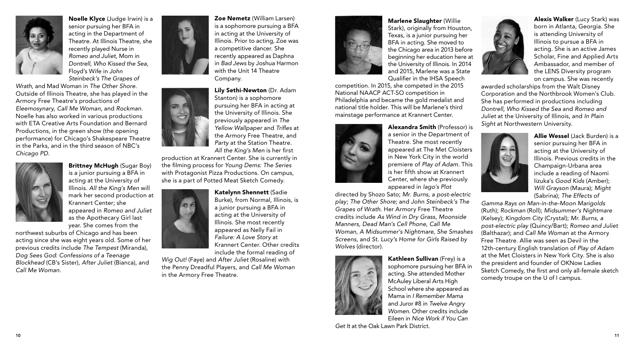

Noelle Klyce (Judge Irwin) is a senior pursuing her BFA in acting in the Department of Theatre. At Illinois Theatre, she recently played Nurse in *Romeo and Juliet,* Mom in *Dontrell, Who Kissed the Sea*, Floyd's Wife in *John Steinbeck's The Grapes of*

*Wrath,* and Mad Woman in *The Other Shore*. Outside of Illinois Theatre, she has played in the Armory Free Theatre's productions of *Eleemosynary*, *Call Me Woman*, and *Rockman*. Noelle has also worked in various productions with ETA Creative Arts Foundation and Bernard Productions, in the green show (the opening performance) for Chicago's Shakespeare Theatre in the Parks, and in the third season of NBC's *Chicago PD*.



Brittney McHugh (Sugar Boy) is a junior pursuing a BFA in acting at the University of Illinois. *All the King's Men* will mark her second production at Krannert Center; she appeared in *Romeo and Juliet* as the Apothecary Girl last year. She comes from the

northwest suburbs of Chicago and has been acting since she was eight years old. Some of her previous credits include *The Tempest* (Miranda), *Dog Sees God: Confessions of a Teenage Blockhead* (CB's Sister)*, After Juliet* (Bianca), and *Call Me Woman*.



Zoe Nemetz (William Larsen) is a sophomore pursuing a BFA in acting at the University of Illinois. Prior to acting, Zoe was a competitive dancer. She recently appeared as Daphna in *Bad Jews* by Joshua Harmon with the Unit 14 Theatre Company.



Lily Sethi-Newton (Dr. Adam Stanton) is a sophomore pursuing her BFA in acting at the University of Illinois. She previously appeared in *The Yellow Wallpaper* and *Trifles* at the Armory Free Theatre, and *Party* at the Station Theatre. *All the King's Men* is her first

production at Krannert Center. She is currently in the filming process for *Young Dems: The Series* with Protagonist Pizza Productions. On campus, she is a part of Potted Meat Sketch Comedy.

> Katelynn Shennett (Sadie Burke), from Normal, Illinois, is a junior pursuing a BFA in acting at the University of Illinois. She most recently appeared as Nelly Fail in *Failure: A Love Story* at Krannert Center. Other credits include the formal reading of

*Wig Out!* (Faye) and *After Juliet* (Rosaline) with the Penny Dreadful Players, and *Call Me Woman* in the Armory Free Theatre.



Marlene Slaughter (Willie Stark), originally from Houston, Texas, is a junior pursuing her BFA in acting. She moved to the Chicago area in 2013 before beginning her education here at the University of Illinois. In 2014 and 2015, Marlene was a State Qualifier in the IHSA Speech

competition. In 2015, she competed in the 2015 National NAACP ACT-SO competition in Philadelphia and became the gold medalist and national title holder. This will be Marlene's third mainstage performance at Krannert Center.



Alexandra Smith (Professor) is a senior in the Department of Theatre. She most recently appeared at The Met Cloisters in New York City in the world premiere of *Play of Adam*. This is her fifth show at Krannert Center, where she previously appeared in *Iago's Plot*

directed by Shozo Sato; *Mr. Burns, a post-electric play*; *The Other Shore*; and *John Steinbeck's The Grapes of Wrath*. Her Armory Free Theatre credits include *As Wind in Dry Grass, Moonside Manners, Dead Man's Cell Phone*, *Call Me Woman, A Midsummer's Nightmare, She Smashes Screens*, and *St. Lucy's Home for Girls Raised by Wolves* (director).



Kathleen Sullivan (Frey) is a sophomore pursuing her BFA in acting. She attended Mother McAuley Liberal Arts High School where she appeared as Mama in *I Remember Mama* and Juror #8 in *Twelve Angry Women.* Other credits include Eileen in *Nice Work if You Can*

*Get It* at the Oak Lawn Park District.



Alexis Walker (Lucy Stark) was born in Atlanta, Georgia. She is attending University of Illinois to pursue a BFA in acting. She is an active James Scholar, Fine and Applied Arts Ambassador, and member of the LENS Diversity program on campus. She was recently

awarded scholarships from the Walt Disney Corporation and the Northbrook Women's Club. She has performed in productions including *Dontrell, Who Kissed the Sea* and *Romeo and Juliet* at the University of Illinois, and *In Plain Sight* at Northwestern University.



Allie Wessel (Jack Burden) is a senior pursuing her BFA in acting at the University of Illinois. Previous credits in the Champaign-Urbana area include a reading of Naomi Iizuka's *Good Kids* (Amber); *Will Grayson* (Maura); *Might* (Sabrina); *The Effects of*

*Gamma Rays on Man-in-the-Moon Marigolds* (Ruth); *Rockman* (Roll); *Midsummer's Nightmare* (Kelsey); *Kingdom City* (Crystal); *Mr. Burns, a post-electric play* (Quincy/Bart); *Romeo and Juliet* (Balthazar); and *Call Me Woman* at the Armory Free Theatre. Allie was seen as Devil in the 12th-century English translation of *Play of Adam* at the Met Cloisters in New York City. She is also the president and founder of OKNow Ladies Sketch Comedy, the first and only all-female sketch comedy troupe on the U of I campus.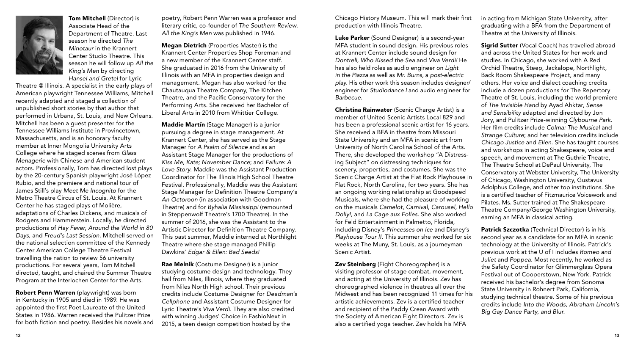

Tom Mitchell (Director) is Associate Head of the Department of Theatre. Last season he directed *The Minotaur* in the Krannert Center Studio Theatre. This season he will follow up *All the King's Men* by directing *Hansel and Gretel* for Lyric

Theatre @ Illinois. A specialist in the early plays of American playwright Tennessee Williams, Mitchell recently adapted and staged a collection of unpublished short stories by that author that performed in Urbana, St. Louis, and New Orleans. Mitchell has been a guest presenter for the Tennessee Williams Institute in Provincetown, Massachusetts, and is an honorary faculty member at Inner Mongolia University Arts College where he staged scenes from *Glass Menagerie* with Chinese and American student actors. Professionally, Tom has directed lost plays by the 20-century Spanish playwright José López Rubio, and the premiere and national tour of James Still's play *Meet Me Incognito* for the Metro Theatre Circus of St. Louis. At Krannert Center he has staged plays of Molière, adaptations of Charles Dickens, and musicals of Rodgers and Hammerstein. Locally, he directed productions of *Hay Fever*, *Around the World in 80 Days*, and *Freud's Last Session*. Mitchell served on the national selection committee of the Kennedy Center American College Theatre Festival travelling the nation to review 56 university productions. For several years, Tom Mitchell directed, taught, and chaired the Summer Theatre Program at the Interlochen Center for the Arts.

Robert Penn Warren (playwright) was born in Kentucky in 1905 and died in 1989. He was appointed the first Poet Laureate of the United States in 1986. Warren received the Pulitzer Prize for both fiction and poetry. Besides his novels and

poetry, Robert Penn Warren was a professor and literary critic, co-founder of *The Southern Review*. *All the King's Men* was published in 1946.

Megan Dietrich (Properties Master) is the Krannert Center Properties Shop Foreman and a new member of the Krannert Center staff. She graduated in 2016 from the University of Illinois with an MFA in properties design and management. Megan has also worked for the Chautauqua Theatre Company, The Kitchen Theatre, and the Pacific Conservatory for the Performing Arts. She received her Bachelor of Liberal Arts in 2010 from Whittier College.

Maddie Martín (Stage Manager) is a junior pursuing a degree in stage management. At Krannert Center, she has served as the Stage Manager for *A Psalm of Silence* and as an Assistant Stage Manager for the productions of *Kiss Me, Kate; November Dance*; and *Failure: A Love Story*. Maddie was the Assistant Production Coordinator for The Illinois High School Theatre Festival. Professionally, Maddie was the Assistant Stage Manager for Definition Theatre Company's *An Octoroon* (in association with Goodman Theatre) and for *Byhalia Mississippi* (remounted in Steppenwolf Theatre's 1700 Theatre). In the summer of 2016, she was the Assistant to the Artistic Director for Definition Theatre Company. This past summer, Maddie interned at Northlight Theatre where she stage managed Phillip Dawkins' *Edgar & Ellen: Bad Seeds!*

Rae Melnik (Costume Designer) is a junior studying costume design and technology. They hail from Niles, Illinois, where they graduated from Niles North High school. Their previous credits include Costume Designer for *Deadman's Cellphone* and Assistant Costume Designer for Lyric Theatre's *Viva Verdi*. They are also credited with winning Judges' Choice in FashioNext in 2015, a teen design competition hosted by the

Chicago History Museum. This will mark their first production with Illinois Theatre.

Luke Parker (Sound Designer) is a second-year MFA student in sound design. His previous roles at Krannert Center include sound design for *Dontrell, Who Kissed the Sea* and *Viva Verdi!* He has also held roles as audio engineer on *Light in the Piazza* as well as *Mr. Burns,* a *post-electric play.* His other work this season includes designer/ engineer for *Studiodance I* and audio engineer for *Barbecue.*

Christina Rainwater (Scenic Charge Artist) is a member of United Scenic Artists Local 829 and has been a professional scenic artist for 16 years. She received a BFA in theatre from Missouri State University and an MFA in scenic art from University of North Carolina School of the Arts. There, she developed the workshop "A Distressing Subject" on distressing techniques for scenery, properties, and costumes. She was the Scenic Charge Artist at the Flat Rock Playhouse in Flat Rock, North Carolina, for two years. She has an ongoing working relationship at Goodspeed Musicals, where she had the pleasure of working on the musicals *Camelot*, *Carnival*, *Carousel, Hello Dolly!,* and *La Cage aux Folles*. She also worked for Feld Entertainment in Palmetto, Florida, including Disney's *Princesses on Ice* and Disney's *Playhouse Tour II*. This summer she worked for six weeks at The Muny, St. Louis, as a journeyman Scenic Artist.

Zev Steinberg (Fight Choreographer) is a visiting professor of stage combat, movement, and acting at the University of Illinois. Zev has choreographed violence in theatres all over the Midwest and has been recognized 11 times for his artistic achievements. Zev is a certified teacher and recipient of the Paddy Crean Award with the Society of American Fight Directors. Zev is also a certified yoga teacher. Zev holds his MFA

in acting from Michigan State University, after graduating with a BFA from the Department of Theatre at the University of Illinois.

Sigrid Sutter (Vocal Coach) has travelled abroad and across the United States for her work and studies. In Chicago, she worked with A Red Orchid Theatre, Steep, Jackalope, Northlight, Back Room Shakespeare Project, and many others. Her voice and dialect coaching credits include a dozen productions for The Repertory Theatre of St. Louis, including the world premiere of *The Invisible Hand* by Ayad Ahktar, *Sense and Sensibility* adapted and directed by Jon Jory, and Pulitzer Prize-winning *Clybourne Park*. Her film credits include *Colma: The Musical* and *Strange Culture*; and her television credits include *Chicago Justice* and *Ellen*. She has taught courses and workshops in acting Shakespeare, voice and speech, and movement at The Guthrie Theatre, The Theatre School at DePaul University, The Conservatory at Webster University, The University of Chicago, Washington University, Gustavus Adolphus College, and other top institutions. She is a certified teacher of Fitzmaurice Voicework and Pilates. Ms. Sutter trained at The Shakespeare Theatre Company/George Washington University, earning an MFA in classical acting.

Patrick Szczotka (Technical Director) is in his second year as a candidate for an MFA in scenic technology at the University of Illinois. Patrick's previous work at the U of I includes *Romeo and Juliet* and *Poppea*. Most recently, he worked as the Safety Coordinator for Glimmerglass Opera Festival out of Cooperstown, New York. Patrick received his bachelor's degree from Sonoma State University in Rohnert Park, California, studying technical theatre. Some of his previous credits include *Into the Woods*, *Abraham Lincoln's Big Gay Dance Party*, *and Blur*.